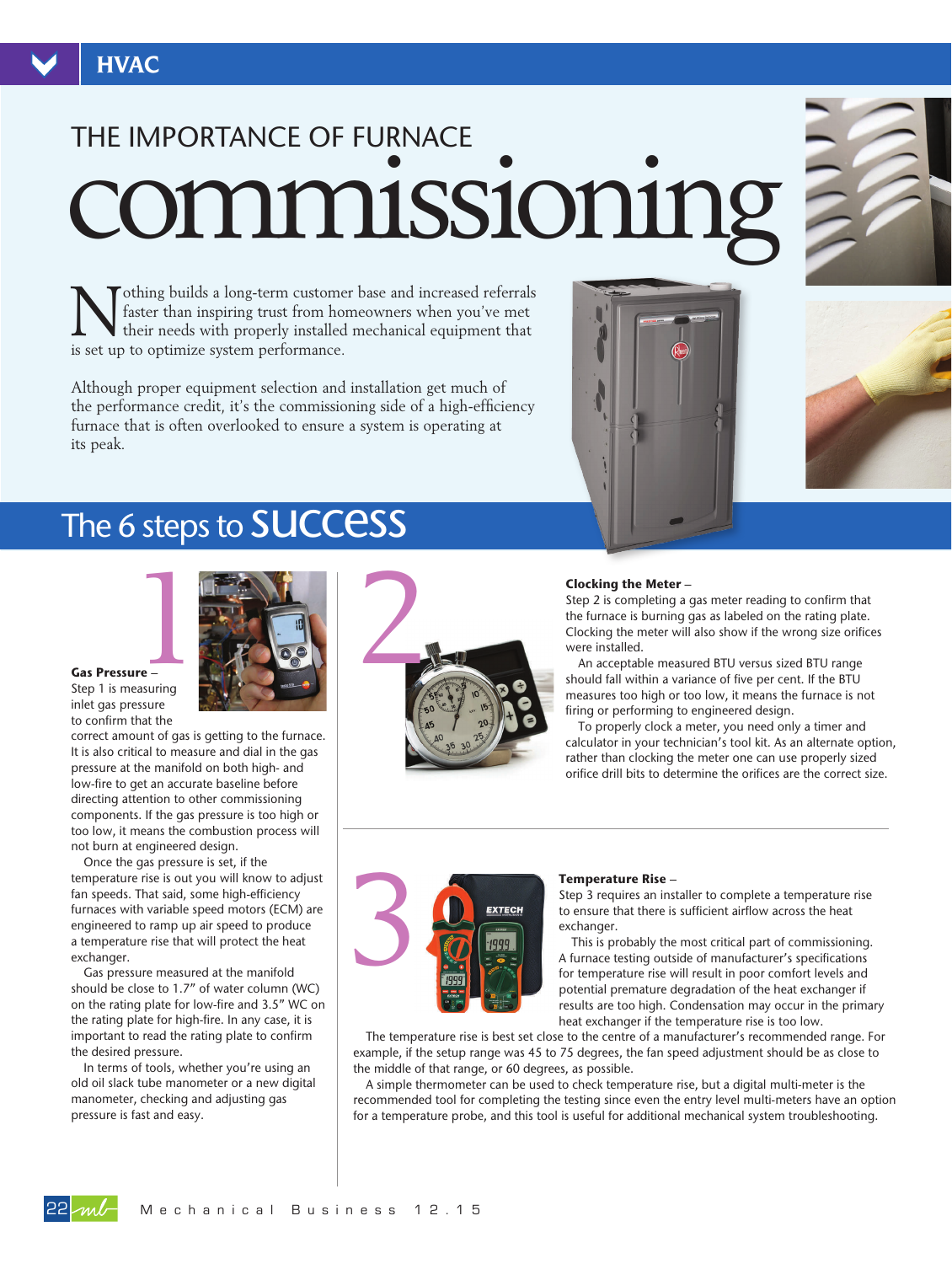# commissioning THE IMPORTANCE OF FURNACE

**Nothing builds a long-term customer base and increased referrals**<br>faster than inspiring trust from homeowners when you've met<br>their needs with properly installed mechanical equipment that faster than inspiring trust from homeowners when you've met is set up to optimize system performance.

Although proper equipment selection and installation get much of the performance credit, it's the commissioning side of a high-efficiency furnace that is often overlooked to ensure a system is operating at its peak.





## The 6 steps to **SUCCESS**



**Gas Pressure** – Step 1 is measuring inlet gas pressure

to confirm that the correct amount of gas is getting to the furnace. It is also critical to measure and dial in the gas pressure at the manifold on both high- and low-fire to get an accurate baseline before directing attention to other commissioning components. If the gas pressure is too high or too low, it means the combustion process will not burn at engineered design.

Once the gas pressure is set, if the temperature rise is out you will know to adjust fan speeds. That said, some high-efficiency furnaces with variable speed motors (ECM) are engineered to ramp up air speed to produce a temperature rise that will protect the heat exchanger.

Gas pressure measured at the manifold should be close to 1.7" of water column (WC) on the rating plate for low-fire and 3.5" WC on the rating plate for high-fire. In any case, it is important to read the rating plate to confirm the desired pressure.

In terms of tools, whether you're using an old oil slack tube manometer or a new digital manometer, checking and adjusting gas pressure is fast and easy.



#### **Clocking the Meter** –

Step 2 is completing a gas meter reading to confirm that the furnace is burning gas as labeled on the rating plate. Clocking the meter will also show if the wrong size orifices were installed.

An acceptable measured BTU versus sized BTU range should fall within a variance of five per cent. If the BTU measures too high or too low, it means the furnace is not firing or performing to engineered design.

To properly clock a meter, you need only a timer and calculator in your technician's tool kit. As an alternate option, rather than clocking the meter one can use properly sized orifice drill bits to determine the orifices are the correct size.



#### **Temperature Rise** –

Step 3 requires an installer to complete a temperature rise to ensure that there is sufficient airflow across the heat exchanger.

This is probably the most critical part of commissioning. A furnace testing outside of manufacturer's specifications for temperature rise will result in poor comfort levels and potential premature degradation of the heat exchanger if results are too high. Condensation may occur in the primary heat exchanger if the temperature rise is too low.

The temperature rise is best set close to the centre of a manufacturer's recommended range. For example, if the setup range was 45 to 75 degrees, the fan speed adjustment should be as close to the middle of that range, or 60 degrees, as possible.

A simple thermometer can be used to check temperature rise, but a digital multi-meter is the recommended tool for completing the testing since even the entry level multi-meters have an option for a temperature probe, and this tool is useful for additional mechanical system troubleshooting.